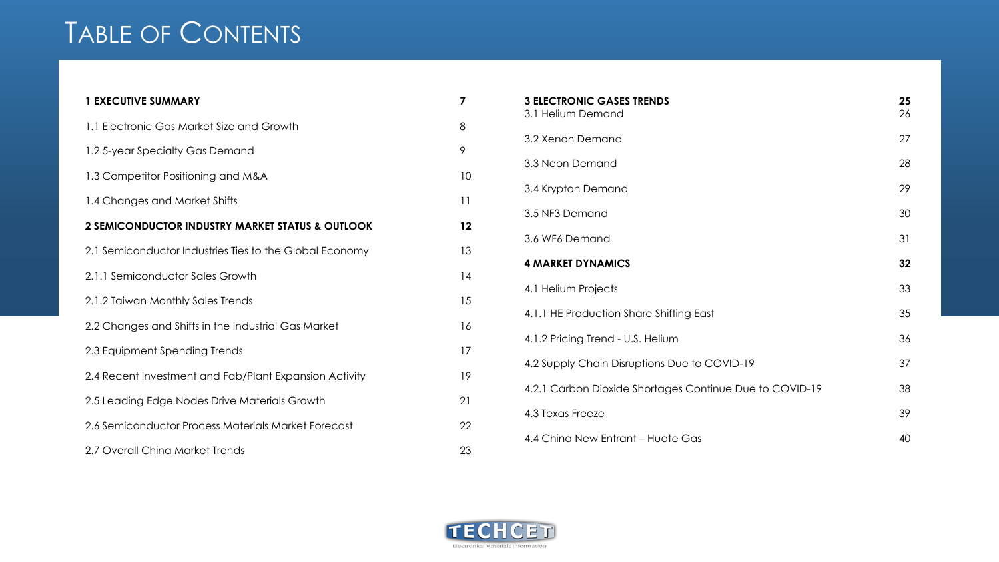## TABLE OF CONTENTS

| <b>1 EXECUTIVE SUMMARY</b>                              | 7  |
|---------------------------------------------------------|----|
| 1.1 Electronic Gas Market Size and Growth               | 8  |
| 1.2 5-year Specialty Gas Demand                         | 9  |
| 1.3 Competitor Positioning and M&A                      | 10 |
| 1.4 Changes and Market Shifts                           | 11 |
| 2 SEMICONDUCTOR INDUSTRY MARKET STATUS & OUTLOOK        | 12 |
| 2.1 Semiconductor Industries Ties to the Global Economy | 13 |
| 2.1.1 Semiconductor Sales Growth                        | 14 |
| 2.1.2 Taiwan Monthly Sales Trends                       | 15 |
| 2.2 Changes and Shifts in the Industrial Gas Market     | 16 |
| 2.3 Equipment Spending Trends                           | 17 |
| 2.4 Recent Investment and Fab/Plant Expansion Activity  | 19 |
| 2.5 Leading Edge Nodes Drive Materials Growth           | 21 |
| 2.6 Semiconductor Process Materials Market Forecast     | 22 |
| 2.7 Overall China Market Trends                         | 23 |

| <b>3 ELECTRONIC GASES TRENDS</b><br>3.1 Helium Demand   | 25<br>26 |
|---------------------------------------------------------|----------|
| 3.2 Xenon Demand                                        | 27       |
| 3.3 Neon Demand                                         | 28       |
| 3.4 Krypton Demand                                      | 29       |
| 3.5 NF3 Demand                                          | 30       |
| 3.6 WF6 Demand                                          | 31       |
| <b>4 MARKET DYNAMICS</b>                                | 32       |
| 4.1 Helium Projects                                     | 33       |
| 4.1.1 HE Production Share Shifting East                 | 35       |
| 4.1.2 Pricing Trend - U.S. Helium                       | 36       |
| 4.2 Supply Chain Disruptions Due to COVID-19            | 37       |
| 4.2.1 Carbon Dioxide Shortages Continue Due to COVID-19 | 38       |
| 4.3 Texas Freeze                                        | 39       |
| 4.4 China New Entrant – Huate Gas                       | 40       |

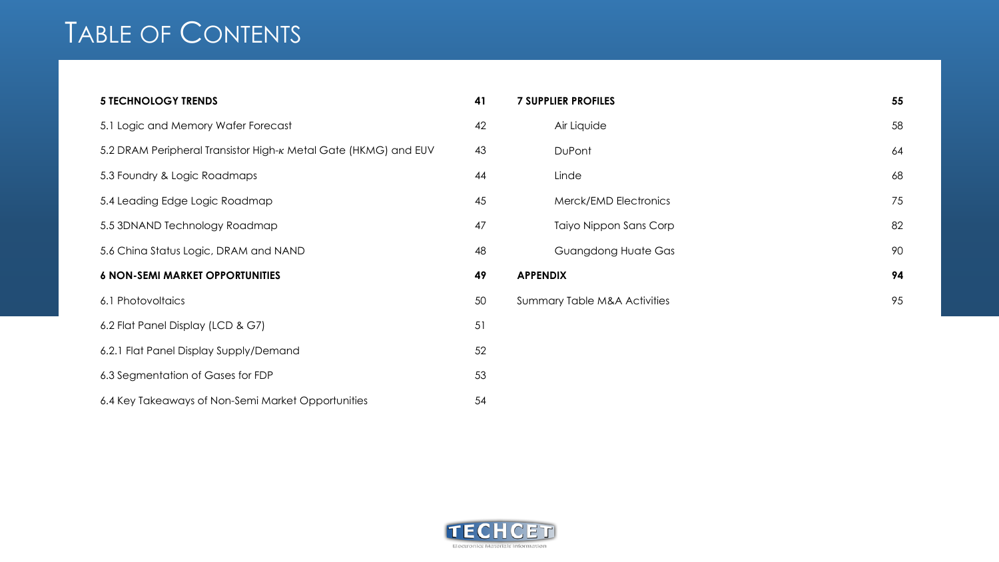## TABLE OF CONTENTS

| <b>5 TECHNOLOGY TRENDS</b>                                      | 41 |
|-----------------------------------------------------------------|----|
| 5.1 Logic and Memory Wafer Forecast                             | 42 |
| 5.2 DRAM Peripheral Transistor High-K Metal Gate (HKMG) and EUV | 43 |
| 5.3 Foundry & Logic Roadmaps                                    | 44 |
| 5.4 Leading Edge Logic Roadmap                                  | 45 |
| 5.5 3DNAND Technology Roadmap                                   | 47 |
| 5.6 China Status Logic, DRAM and NAND                           | 48 |
| <b>6 NON-SEMI MARKET OPPORTUNITIES</b>                          | 49 |
| 6.1 Photovoltaics                                               | 50 |
| 6.2 Flat Panel Display (LCD & G7)                               | 51 |
| 6.2.1 Flat Panel Display Supply/Demand                          | 52 |
| 6.3 Segmentation of Gases for FDP                               | 53 |
| 6.4 Key Takeaways of Non-Semi Market Opportunities              | 54 |

| <b>7 SUPPLIER PROFILES</b>              | 55 |
|-----------------------------------------|----|
| Air Liquide                             | 58 |
| DuPont                                  | 64 |
| Linde                                   | 68 |
| Merck/EMD Electronics                   | 75 |
| Taiyo Nippon Sans Corp                  | 82 |
| <b>Guangdong Huate Gas</b>              | 90 |
| <b>APPENDIX</b>                         | 94 |
| <b>Summary Table M&amp;A Activities</b> | 95 |
|                                         |    |